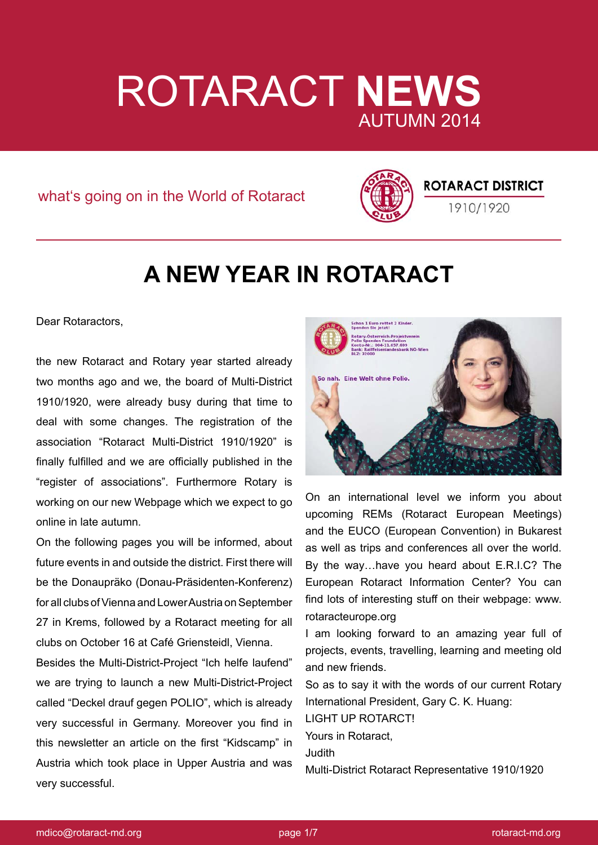# ROTARACT **NEWS** AUTUMN 2014

what's going on in the World of Rotaract



## **ROTARACT DISTRICT**

1910/1920

## **A NEW YEAR IN ROTARACT**

Dear Rotaractors,

the new Rotaract and Rotary year started already two months ago and we, the board of Multi-District 1910/1920, were already busy during that time to deal with some changes. The registration of the association "Rotaract Multi-District 1910/1920" is finally fulfilled and we are officially published in the "register of associations". Furthermore Rotary is working on our new Webpage which we expect to go online in late autumn.

On the following pages you will be informed, about future events in and outside the district. First there will be the Donaupräko (Donau-Präsidenten-Konferenz) for all clubs of Vienna and Lower Austria on September 27 in Krems, followed by a Rotaract meeting for all clubs on October 16 at Café Griensteidl, Vienna.

Besides the Multi-District-Project "Ich helfe laufend" we are trying to launch a new Multi-District-Project called "Deckel drauf gegen POLIO", which is already very successful in Germany. Moreover you find in this newsletter an article on the first "Kidscamp" in Austria which took place in Upper Austria and was very successful.



On an international level we inform you about upcoming REMs (Rotaract European Meetings) and the EUCO (European Convention) in Bukarest as well as trips and conferences all over the world. By the way…have you heard about E.R.I.C? The European Rotaract Information Center? You can find lots of interesting stuff on their webpage: www. rotaracteurope.org

I am looking forward to an amazing year full of projects, events, travelling, learning and meeting old and new friends.

So as to say it with the words of our current Rotary International President, Gary C. K. Huang: LIGHT UP ROTARCT! Yours in Rotaract, Judith

Multi-District Rotaract Representative 1910/1920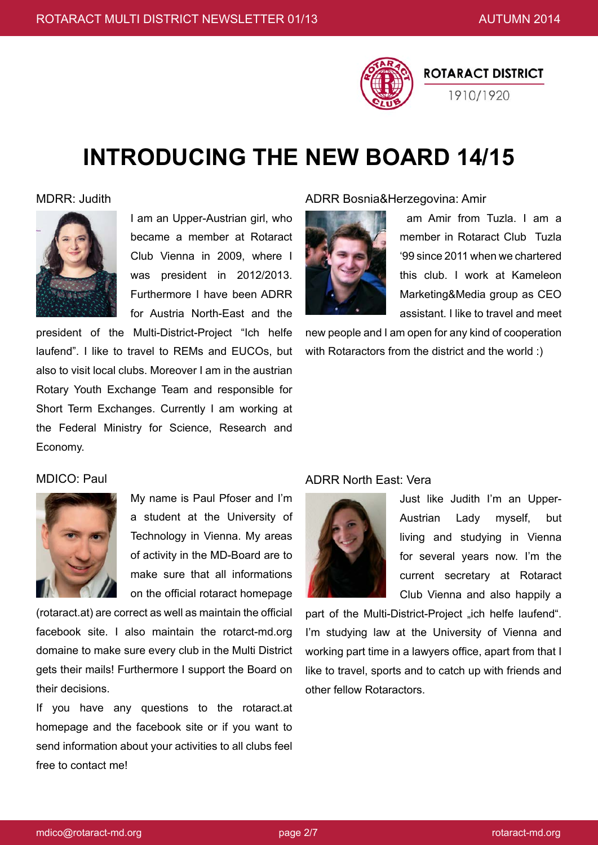

## **INTRODUCING THE NEW BOARD 14/15**

#### MDRR: Judith



I am an Upper-Austrian girl, who became a member at Rotaract Club Vienna in 2009, where I was president in 2012/2013. Furthermore I have been ADRR for Austria North-East and the

president of the Multi-District-Project "Ich helfe laufend". I like to travel to REMs and EUCOs, but also to visit local clubs. Moreover I am in the austrian Rotary Youth Exchange Team and responsible for Short Term Exchanges. Currently I am working at the Federal Ministry for Science, Research and Economy.

### ADRR Bosnia&Herzegovina: Amir



 am Amir from Tuzla. I am a member in Rotaract Club Tuzla '99 since 2011 when we chartered this club. I work at Kameleon Marketing&Media group as CEO assistant. I like to travel and meet

new people and I am open for any kind of cooperation with Rotaractors from the district and the world :)

### MDICO: Paul



My name is Paul Pfoser and I'm a student at the University of Technology in Vienna. My areas of activity in the MD-Board are to make sure that all informations on the official rotaract homepage

(rotaract.at) are correct as well as maintain the official facebook site. I also maintain the rotarct-md.org domaine to make sure every club in the Multi District gets their mails! Furthermore I support the Board on their decisions.

If you have any questions to the rotaract.at homepage and the facebook site or if you want to send information about your activities to all clubs feel free to contact me!

### ADRR North East: Vera



Just like Judith I'm an Upper-Austrian Lady myself, but living and studying in Vienna for several years now. I'm the current secretary at Rotaract Club Vienna and also happily a

part of the Multi-District-Project "ich helfe laufend". I'm studying law at the University of Vienna and working part time in a lawyers office, apart from that I like to travel, sports and to catch up with friends and other fellow Rotaractors.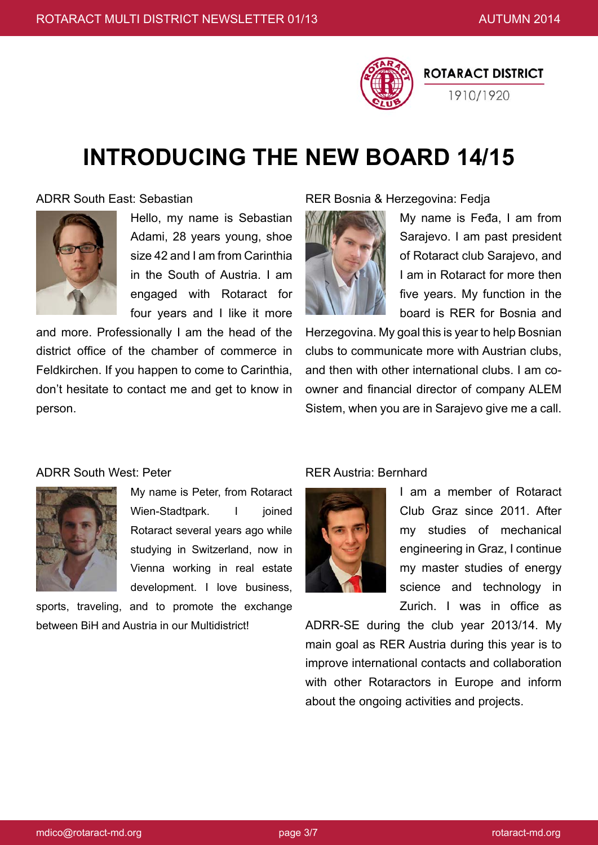

## **INTRODUCING THE NEW BOARD 14/15**

### ADRR South East: Sebastian



Hello, my name is Sebastian Adami, 28 years young, shoe size 42 and I am from Carinthia in the South of Austria. I am engaged with Rotaract for four years and I like it more

and more. Professionally I am the head of the district office of the chamber of commerce in Feldkirchen. If you happen to come to Carinthia, don't hesitate to contact me and get to know in person.

### RER Bosnia & Herzegovina: Fedja



My name is Feđa, I am from Sarajevo. I am past president of Rotaract club Sarajevo, and I am in Rotaract for more then five years. My function in the board is RER for Bosnia and

Herzegovina. My goal this is year to help Bosnian clubs to communicate more with Austrian clubs, and then with other international clubs. I am coowner and financial director of company ALEM Sistem, when you are in Sarajevo give me a call.

### ADRR South West: Peter



My name is Peter, from Rotaract Wien-Stadtpark. I ioined Rotaract several years ago while studying in Switzerland, now in Vienna working in real estate development. I love business,

sports, traveling, and to promote the exchange between BiH and Austria in our Multidistrict!

### RER Austria: Bernhard



I am a member of Rotaract Club Graz since 2011. After my studies of mechanical engineering in Graz, I continue my master studies of energy science and technology in Zurich. I was in office as

ADRR-SE during the club year 2013/14. My main goal as RER Austria during this year is to improve international contacts and collaboration with other Rotaractors in Europe and inform about the ongoing activities and projects.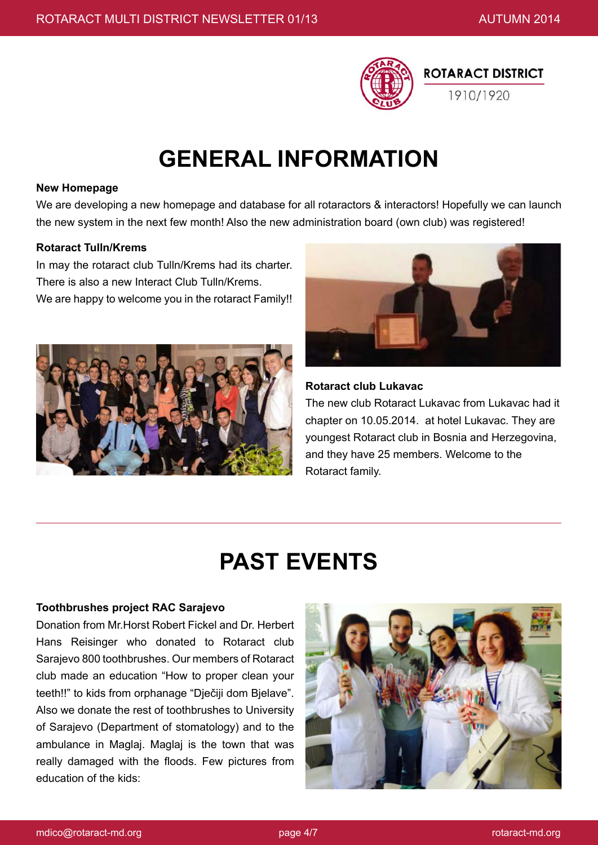

## **GENERAL INFORMATION**

#### **New Homepage**

We are developing a new homepage and database for all rotaractors & interactors! Hopefully we can launch the new system in the next few month! Also the new administration board (own club) was registered!

#### **Rotaract Tulln/Krems**

In may the rotaract club Tulln/Krems had its charter. There is also a new Interact Club Tulln/Krems. We are happy to welcome you in the rotaract Family!!





#### **Rotaract club Lukavac**

The new club Rotaract Lukavac from Lukavac had it chapter on 10.05.2014. at hotel Lukavac. They are youngest Rotaract club in Bosnia and Herzegovina, and they have 25 members. Welcome to the Rotaract family.

## **PAST EVENTS**

#### **Toothbrushes project RAC Sarajevo**

Donation from Mr.Horst Robert Fickel and Dr. Herbert Hans Reisinger who donated to Rotaract club Sarajevo 800 toothbrushes. Our members of Rotaract club made an education "How to proper clean your teeth!!" to kids from orphanage "Dječiji dom Bjelave". Also we donate the rest of toothbrushes to University of Sarajevo (Department of stomatology) and to the ambulance in Maglaj. Maglaj is the town that was really damaged with the floods. Few pictures from education of the kids:

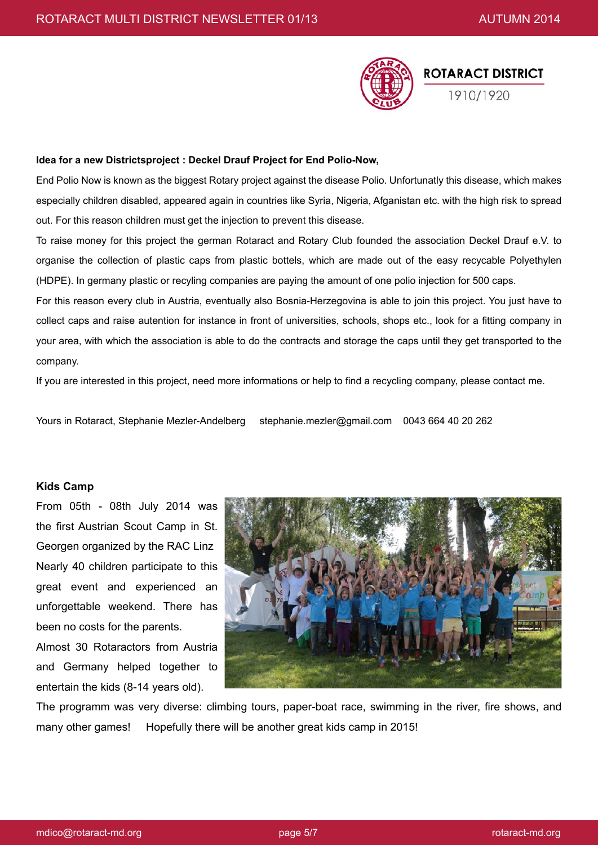

#### **Idea for a new Districtsproject : Deckel Drauf Project for End Polio-Now,**

End Polio Now is known as the biggest Rotary project against the disease Polio. Unfortunatly this disease, which makes especially children disabled, appeared again in countries like Syria, Nigeria, Afganistan etc. with the high risk to spread out. For this reason children must get the injection to prevent this disease.

To raise money for this project the german Rotaract and Rotary Club founded the association Deckel Drauf e.V. to organise the collection of plastic caps from plastic bottels, which are made out of the easy recycable Polyethylen (HDPE). In germany plastic or recyling companies are paying the amount of one polio injection for 500 caps.

For this reason every club in Austria, eventually also Bosnia-Herzegovina is able to join this project. You just have to collect caps and raise autention for instance in front of universities, schools, shops etc., look for a fitting company in your area, with which the association is able to do the contracts and storage the caps until they get transported to the company.

If you are interested in this project, need more informations or help to find a recycling company, please contact me.

Yours in Rotaract, Stephanie Mezler-Andelberg stephanie.mezler@gmail.com 0043 664 40 20 262

#### **Kids Camp**

From 05th - 08th July 2014 was the first Austrian Scout Camp in St. Georgen organized by the RAC Linz Nearly 40 children participate to this great event and experienced an unforgettable weekend. There has been no costs for the parents.

Almost 30 Rotaractors from Austria and Germany helped together to entertain the kids (8-14 years old).



The programm was very diverse: climbing tours, paper-boat race, swimming in the river, fire shows, and many other games! Hopefully there will be another great kids camp in 2015!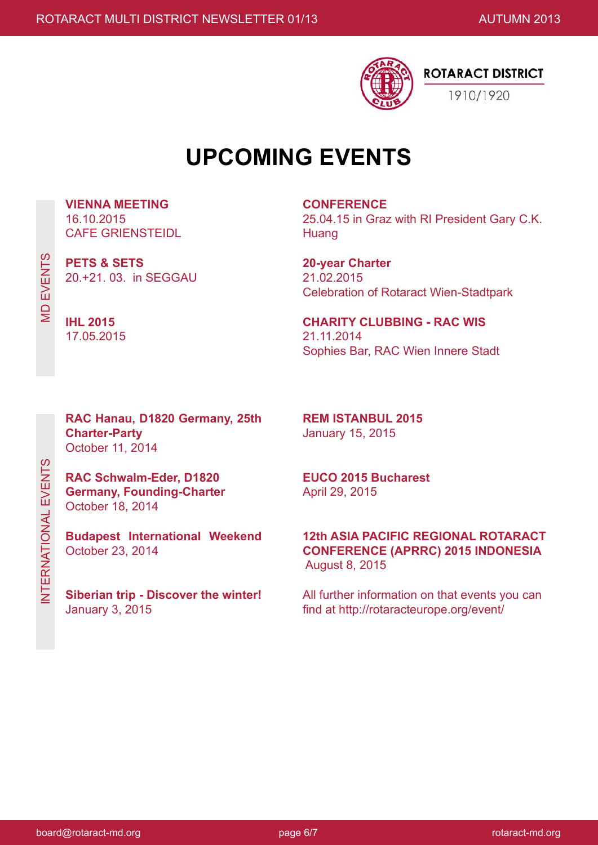

## **UPCOMING EVENTS**

**VIENNA MEETING** 16.10.2015 CAFE GRIENSTEIDL

**PETS & SETS** 20.+21. 03. in SEGGAU

**CONFERENCE** 25.04.15 in Graz with RI President Gary C.K. Huang

**20-year Charter**  21.02.2015 Celebration of Rotaract Wien-Stadtpark

**CHARITY CLUBBING - RAC WIS** 21.11.2014 Sophies Bar, RAC Wien Innere Stadt

**RAC Hanau, D1820 Germany, 25th Charter-Party**  October 11, 2014

**RAC Schwalm-Eder, D1820 Germany, Founding-Charter**  October 18, 2014

**Budapest International Weekend**  October 23, 2014

**Siberian trip - Discover the winter!**  January 3, 2015

**REM ISTANBUL 2015**  January 15, 2015

**EUCO 2015 Bucharest**  April 29, 2015

**12th ASIA PACIFIC REGIONAL ROTARACT CONFERENCE (APRRC) 2015 INDONESIA** August 8, 2015

All further information on that events you can find at http://rotaracteurope.org/event/

**MD EVENTS** MD EVENTS

**IHL 2015** 17.05.2015

INTERNATIONAL EVENTS INTERNATIONAL EVENTS